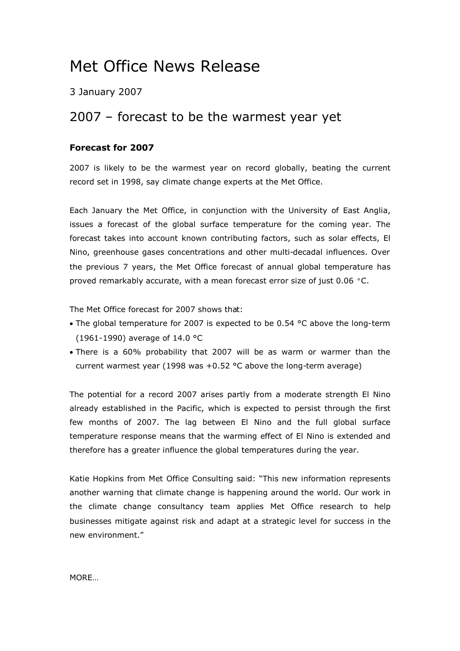# Met Office News Release

3 January 2007

# 2007 – forecast to be the warmest year yet

### **Forecast for 2007**

2007 is likely to be the warmest year on record globally, beating the current record set in 1998, say climate change experts at the Met Office.

Each January the Met Office, in conjunction with the University of East Anglia, issues a forecast of the global surface temperature for the coming year. The forecast takes into account known contributing factors, such as solar effects, El Nino, greenhouse gases concentrations and other multi-decadal influences. Over the previous 7 years, the Met Office forecast of annual global temperature has proved remarkably accurate, with a mean forecast error size of just 0.06 °C.

The Met Office forecast for 2007 shows that:

- The global temperature for 2007 is expected to be 0.54 °C above the long-term (1961-1990) average of 14.0 °C
- There is a 60% probability that 2007 will be as warm or warmer than the current warmest year (1998 was  $+0.52$  °C above the long-term average)

The potential for a record 2007 arises partly from a moderate strength El Nino already established in the Pacific, which is expected to persist through the first few months of 2007. The lag between El Nino and the full global surface temperature response means that the warming effect of El Nino is extended and therefore has a greater influence the global temperatures during the year.

Katie Hopkins from Met Office Consulting said: "This new information represents another warning that climate change is happening around the world. Our work in the climate change consultancy team applies Met Office research to help businesses mitigate against risk and adapt at a strategic level for success in the new environment."

MORE…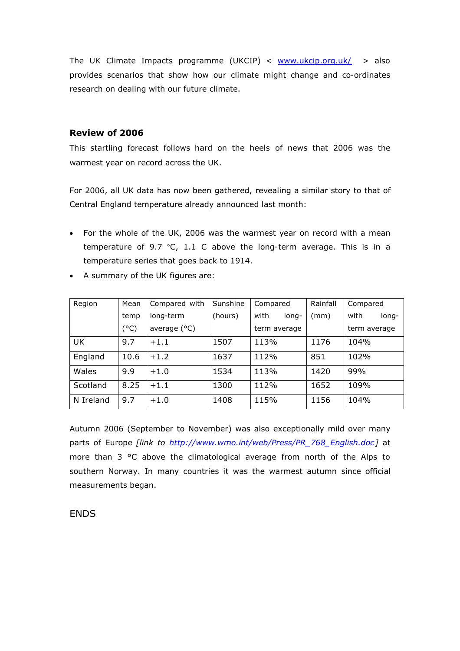The UK Climate Impacts programme (UKCIP) < [www.ukcip.org.uk/](http://www.ukcip.org.uk/) > also provides scenarios that show how our climate might change and co-ordinates research on dealing with our future climate.

#### **Review of 2006**

This startling forecast follows hard on the heels of news that 2006 was the warmest year on record across the UK.

For 2006, all UK data has now been gathered, revealing a similar story to that of Central England temperature already announced last month:

- For the whole of the UK, 2006 was the warmest year on record with a mean temperature of 9.7 °C, 1.1 C above the long-term average. This is in a temperature series that goes back to 1914.
- A summary of the UK figures are:

| Region    | Mean | Compared with  | Sunshine | Compared      | Rainfall | Compared      |
|-----------|------|----------------|----------|---------------|----------|---------------|
|           | temp | long-term      | (hours)  | with<br>long- | (mm)     | with<br>long- |
|           | (°C) | average $(°C)$ |          | term average  |          | term average  |
| <b>UK</b> | 9.7  | $+1.1$         | 1507     | 113%          | 1176     | 104%          |
| England   | 10.6 | $+1.2$         | 1637     | 112%          | 851      | 102%          |
| Wales     | 9.9  | $+1.0$         | 1534     | 113%          | 1420     | 99%           |
| Scotland  | 8.25 | $+1.1$         | 1300     | 112%          | 1652     | 109%          |
| N Ireland | 9.7  | $+1.0$         | 1408     | 115%          | 1156     | 104%          |

Autumn 2006 (September to November) was also exceptionally mild over many parts of Europe *[link to [http://www.wmo.int/web/Press/PR\\_768\\_English.doc\]](http://www.wmo.int/web/Press/PR_768_English.doc)* at more than 3 °C above the climatological average from north of the Alps to southern Norway. In many countries it was the warmest autumn since official measurements began.

## **ENDS**